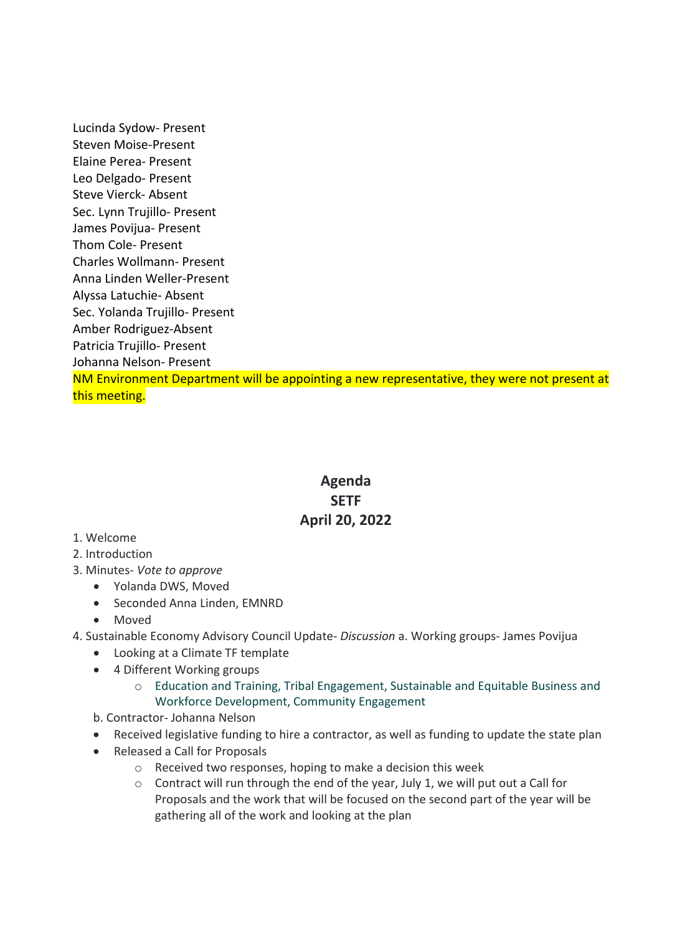Lucinda Sydow- Present Steven Moise-Present Elaine Perea- Present Leo Delgado- Present Steve Vierck- Absent Sec. Lynn Trujillo- Present James Povijua- Present Thom Cole- Present Charles Wollmann- Present Anna Linden Weller-Present Alyssa Latuchie- Absent Sec. Yolanda Trujillo- Present Amber Rodriguez-Absent Patricia Trujillo- Present Johanna Nelson- Present NM Environment Department will be appointing a new representative, they were not present at this meeting.

## **Agenda SETF April 20, 2022**

## 1. Welcome

- 2. Introduction
- 3. Minutes- *Vote to approve* 
	- Yolanda DWS, Moved
	- Seconded Anna Linden, EMNRD
	- Moved
- 4. Sustainable Economy Advisory Council Update- *Discussion* a. Working groups- James Povijua
	- Looking at a Climate TF template
	- 4 Different Working groups
		- o Education and Training, Tribal Engagement, Sustainable and Equitable Business and Workforce Development, Community Engagement
	- b. Contractor- Johanna Nelson
	- Received legislative funding to hire a contractor, as well as funding to update the state plan
	- Released a Call for Proposals
		- o Received two responses, hoping to make a decision this week
		- $\circ$  Contract will run through the end of the year, July 1, we will put out a Call for Proposals and the work that will be focused on the second part of the year will be gathering all of the work and looking at the plan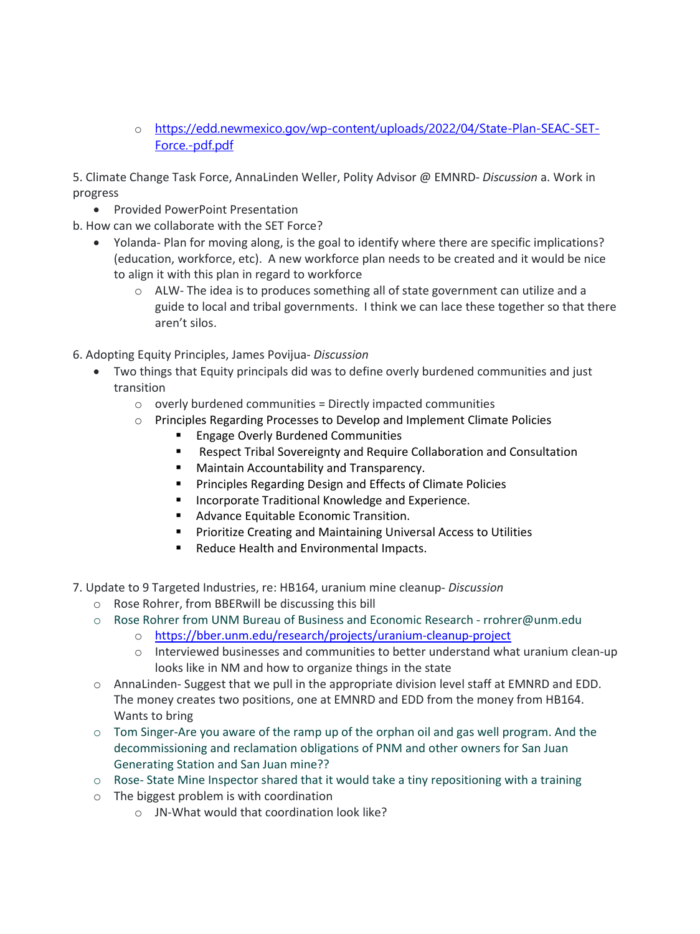o [https://edd.newmexico.gov/wp-content/uploads/2022/04/State-Plan-SEAC-SET-](https://edd.newmexico.gov/wp-content/uploads/2022/04/State-Plan-SEAC-SET-Force.-pdf.pdf)[Force.-pdf.pdf](https://edd.newmexico.gov/wp-content/uploads/2022/04/State-Plan-SEAC-SET-Force.-pdf.pdf)

5. Climate Change Task Force, AnnaLinden Weller, Polity Advisor @ EMNRD- *Discussion* a. Work in progress

• Provided PowerPoint Presentation

b. How can we collaborate with the SET Force?

- Yolanda- Plan for moving along, is the goal to identify where there are specific implications? (education, workforce, etc). A new workforce plan needs to be created and it would be nice to align it with this plan in regard to workforce
	- $\circ$  ALW- The idea is to produces something all of state government can utilize and a guide to local and tribal governments. I think we can lace these together so that there aren't silos.
- 6. Adopting Equity Principles, James Povijua- *Discussion* 
	- Two things that Equity principals did was to define overly burdened communities and just transition
		- $\circ$  overly burdened communities = Directly impacted communities
		- o Principles Regarding Processes to Develop and Implement Climate Policies
			- **Engage Overly Burdened Communities**
			- **E** Respect Tribal Sovereignty and Require Collaboration and Consultation
			- **E** Maintain Accountability and Transparency.
			- **Principles Regarding Design and Effects of Climate Policies**
			- **Incorporate Traditional Knowledge and Experience.**
			- **Advance Equitable Economic Transition.**
			- **Prioritize Creating and Maintaining Universal Access to Utilities**
			- **Reduce Health and Environmental Impacts.**
- 7. Update to 9 Targeted Industries, re: HB164, uranium mine cleanup- *Discussion* 
	- o Rose Rohrer, from BBERwill be discussing this bill
	- o Rose Rohrer from UNM Bureau of Business and Economic Research rrohrer@unm.edu
		- o <https://bber.unm.edu/research/projects/uranium-cleanup-project>
		- $\circ$  Interviewed businesses and communities to better understand what uranium clean-up looks like in NM and how to organize things in the state
	- $\circ$  AnnaLinden-Suggest that we pull in the appropriate division level staff at EMNRD and EDD. The money creates two positions, one at EMNRD and EDD from the money from HB164. Wants to bring
	- $\circ$  Tom Singer-Are you aware of the ramp up of the orphan oil and gas well program. And the decommissioning and reclamation obligations of PNM and other owners for San Juan Generating Station and San Juan mine??
	- o Rose- State Mine Inspector shared that it would take a tiny repositioning with a training
	- o The biggest problem is with coordination
		- o JN-What would that coordination look like?